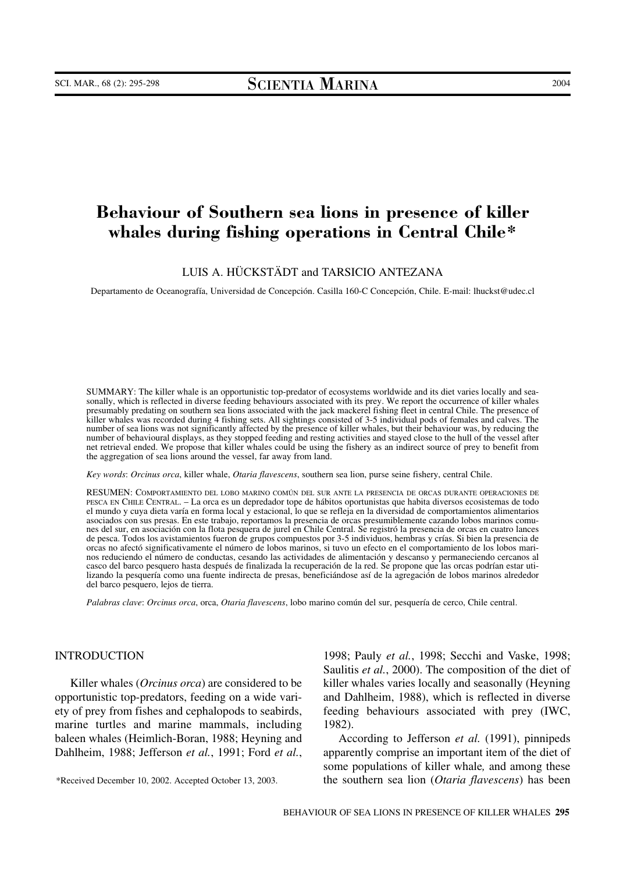# **Behaviour of Southern sea lions in presence of killer whales during fishing operations in Central Chile\***

LUIS A. HÜCKSTÄDT and TARSICIO ANTEZANA

Departamento de Oceanografía, Universidad de Concepción. Casilla 160-C Concepción, Chile. E-mail: lhuckst@udec.cl

SUMMARY: The killer whale is an opportunistic top-predator of ecosystems worldwide and its diet varies locally and seasonally, which is reflected in diverse feeding behaviours associated with its prey. We report the occurrence of killer whales presumably predating on southern sea lions associated with the jack mackerel fishing fleet in central Chile. The presence of killer whales was recorded during 4 fishing sets. All sightings consisted of 3-5 individual pods of females and calves. The number of sea lions was not significantly affected by the presence of killer whales, but their behaviour was, by reducing the number of behavioural displays, as they stopped feeding and resting activities and stayed close to the hull of the vessel after net retrieval ended. We propose that killer whales could be using the fishery as an indirect source of prey to benefit from the aggregation of sea lions around the vessel, far away from land.

*Key words*: *Orcinus orca*, killer whale, *Otaria flavescens*, southern sea lion, purse seine fishery, central Chile.

RESUMEN: COMPORTAMIENTO DEL LOBO MARINO COMÚN DEL SUR ANTE LA PRESENCIA DE ORCAS DURANTE OPERACIONES DE PESCA EN CHILE CENTRAL. – La orca es un depredador tope de hábitos oportunistas que habita diversos ecosistemas de todo el mundo y cuya dieta varía en forma local y estacional, lo que se refleja en la diversidad de comportamientos alimentarios asociados con sus presas. En este trabajo, reportamos la presencia de orcas presumiblemente cazando lobos marinos comunes del sur, en asociación con la flota pesquera de jurel en Chile Central. Se registró la presencia de orcas en cuatro lances de pesca. Todos los avistamientos fueron de grupos compuestos por 3-5 individuos, hembras y crías. Si bien la presencia de orcas no afectó significativamente el número de lobos marinos, si tuvo un efecto en el comportamiento de los lobos marinos reduciendo el número de conductas, cesando las actividades de alimentación y descanso y permaneciendo cercanos al casco del barco pesquero hasta después de finalizada la recuperación de la red. Se propone que las orcas podrían estar utilizando la pesquería como una fuente indirecta de presas, beneficiándose así de la agregación de lobos marinos alrededor del barco pesquero, lejos de tierra.

*Palabras clave*: *Orcinus orca*, orca, *Otaria flavescens*, lobo marino común del sur, pesquería de cerco, Chile central.

#### INTRODUCTION

Killer whales (*Orcinus orca*) are considered to be opportunistic top-predators, feeding on a wide variety of prey from fishes and cephalopods to seabirds, marine turtles and marine mammals, including baleen whales (Heimlich-Boran, 1988; Heyning and Dahlheim, 1988; Jefferson *et al.*, 1991; Ford *et al.*,

1998; Pauly *et al.*, 1998; Secchi and Vaske, 1998; Saulitis *et al.*, 2000). The composition of the diet of killer whales varies locally and seasonally (Heyning and Dahlheim, 1988), which is reflected in diverse feeding behaviours associated with prey (IWC, 1982).

According to Jefferson *et al.* (1991), pinnipeds apparently comprise an important item of the diet of some populations of killer whale*,* and among these the southern sea lion (*Otaria flavescens*) has been

<sup>\*</sup>Received December 10, 2002. Accepted October 13, 2003.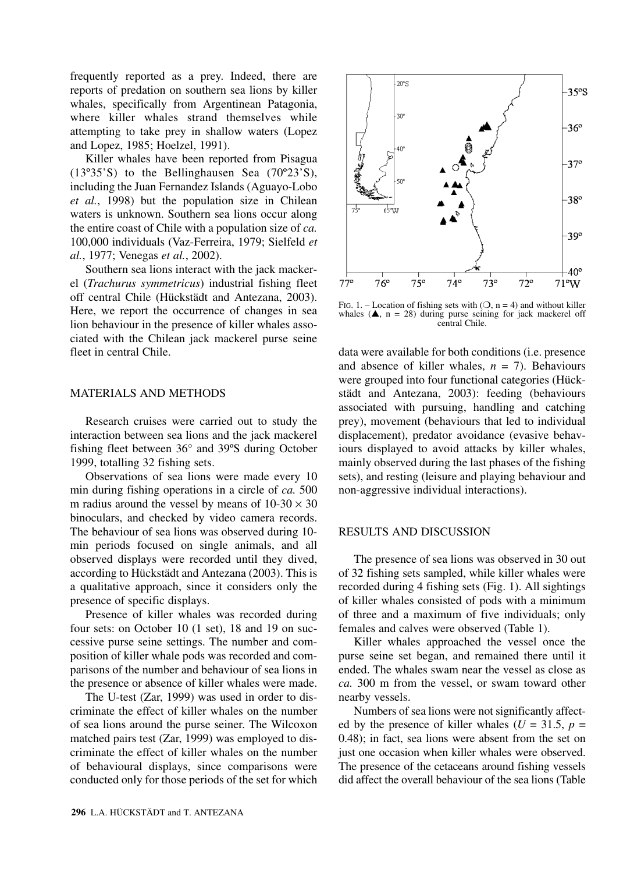frequently reported as a prey. Indeed, there are reports of predation on southern sea lions by killer whales, specifically from Argentinean Patagonia, where killer whales strand themselves while attempting to take prey in shallow waters (Lopez and Lopez, 1985; Hoelzel, 1991).

Killer whales have been reported from Pisagua (13º35'S) to the Bellinghausen Sea (70º23'S), including the Juan Fernandez Islands (Aguayo-Lobo *et al.*, 1998) but the population size in Chilean waters is unknown. Southern sea lions occur along the entire coast of Chile with a population size of *ca.* 100,000 individuals (Vaz-Ferreira, 1979; Sielfeld *et al.*, 1977; Venegas *et al.*, 2002).

Southern sea lions interact with the jack mackerel (*Trachurus symmetricus*) industrial fishing fleet off central Chile (Hückstädt and Antezana, 2003). Here, we report the occurrence of changes in sea lion behaviour in the presence of killer whales associated with the Chilean jack mackerel purse seine fleet in central Chile.

## MATERIALS AND METHODS

Research cruises were carried out to study the interaction between sea lions and the jack mackerel fishing fleet between 36° and 39ºS during October 1999, totalling 32 fishing sets.

Observations of sea lions were made every 10 min during fishing operations in a circle of *ca.* 500 m radius around the vessel by means of  $10-30 \times 30$ binoculars, and checked by video camera records. The behaviour of sea lions was observed during 10 min periods focused on single animals, and all observed displays were recorded until they dived, according to Hückstädt and Antezana (2003). This is a qualitative approach, since it considers only the presence of specific displays.

Presence of killer whales was recorded during four sets: on October 10 (1 set), 18 and 19 on successive purse seine settings. The number and composition of killer whale pods was recorded and comparisons of the number and behaviour of sea lions in the presence or absence of killer whales were made.

The U-test (Zar, 1999) was used in order to discriminate the effect of killer whales on the number of sea lions around the purse seiner. The Wilcoxon matched pairs test (Zar, 1999) was employed to discriminate the effect of killer whales on the number of behavioural displays, since comparisons were conducted only for those periods of the set for which



FIG. 1. – Location of fishing sets with  $(0, n = 4)$  and without killer whales  $(A, n = 28)$  during purse seining for jack mackerel off central Chile.

data were available for both conditions (i.e. presence and absence of killer whales,  $n = 7$ ). Behaviours were grouped into four functional categories (Hückstädt and Antezana, 2003): feeding (behaviours associated with pursuing, handling and catching prey), movement (behaviours that led to individual displacement), predator avoidance (evasive behaviours displayed to avoid attacks by killer whales, mainly observed during the last phases of the fishing sets), and resting (leisure and playing behaviour and non-aggressive individual interactions).

## RESULTS AND DISCUSSION

The presence of sea lions was observed in 30 out of 32 fishing sets sampled, while killer whales were recorded during 4 fishing sets (Fig. 1). All sightings of killer whales consisted of pods with a minimum of three and a maximum of five individuals; only females and calves were observed (Table 1).

Killer whales approached the vessel once the purse seine set began, and remained there until it ended. The whales swam near the vessel as close as *ca.* 300 m from the vessel, or swam toward other nearby vessels.

Numbers of sea lions were not significantly affected by the presence of killer whales ( $U = 31.5$ ,  $p =$ 0.48); in fact, sea lions were absent from the set on just one occasion when killer whales were observed. The presence of the cetaceans around fishing vessels did affect the overall behaviour of the sea lions (Table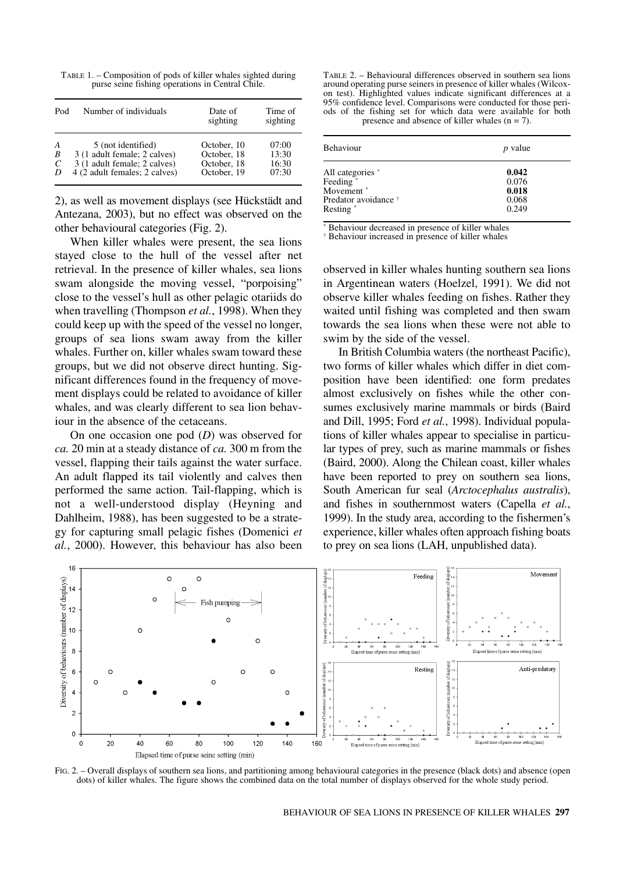TABLE 1. – Composition of pods of killer whales sighted during purse seine fishing operations in Central Chile.

| Pod | Number of individuals         | Date of<br>sighting | Time of<br>sighting |
|-----|-------------------------------|---------------------|---------------------|
| A   | 5 (not identified)            | October, 10         | 07:00               |
| B   | 3 (1 adult female; 2 calves)  | October, 18         | 13:30               |
| C   | 3 (1 adult female; 2 calves)  | October, 18         | 16:30               |
| D   | 4 (2 adult females; 2 calves) | October, 19         | 07:30               |

2), as well as movement displays (see Hückstädt and Antezana, 2003), but no effect was observed on the other behavioural categories (Fig. 2).

When killer whales were present, the sea lions stayed close to the hull of the vessel after net retrieval. In the presence of killer whales, sea lions swam alongside the moving vessel, "porpoising" close to the vessel's hull as other pelagic otariids do when travelling (Thompson *et al.*, 1998). When they could keep up with the speed of the vessel no longer, groups of sea lions swam away from the killer whales. Further on, killer whales swam toward these groups, but we did not observe direct hunting. Significant differences found in the frequency of movement displays could be related to avoidance of killer whales, and was clearly different to sea lion behaviour in the absence of the cetaceans.

On one occasion one pod (*D*) was observed for *ca.* 20 min at a steady distance of *ca.* 300 m from the vessel, flapping their tails against the water surface. An adult flapped its tail violently and calves then performed the same action. Tail-flapping, which is not a well-understood display (Heyning and Dahlheim, 1988), has been suggested to be a strategy for capturing small pelagic fishes (Domenici *et al.*, 2000). However, this behaviour has also been

TABLE 2. – Behavioural differences observed in southern sea lions around operating purse seiners in presence of killer whales (Wilcoxon test). Highlighted values indicate significant differences at a 95% confidence level. Comparisons were conducted for those periods of the fishing set for which data were available for both presence and absence of killer whales  $(n = 7)$ .

| Behaviour                       | <i>p</i> value |  |
|---------------------------------|----------------|--|
| All categories *                | 0.042          |  |
| Feeding <sup>*</sup>            | 0.076          |  |
| Movement <sup>*</sup>           | 0.018          |  |
| Predator avoidance <sup>†</sup> | 0.068          |  |
| Resting <sup>*</sup>            | 0.249          |  |

\* Behaviour decreased in presence of killer whales

† Behaviour increased in presence of killer whales

observed in killer whales hunting southern sea lions in Argentinean waters (Hoelzel, 1991). We did not observe killer whales feeding on fishes. Rather they waited until fishing was completed and then swam towards the sea lions when these were not able to swim by the side of the vessel.

In British Columbia waters (the northeast Pacific), two forms of killer whales which differ in diet composition have been identified: one form predates almost exclusively on fishes while the other consumes exclusively marine mammals or birds (Baird and Dill, 1995; Ford *et al.*, 1998). Individual populations of killer whales appear to specialise in particular types of prey, such as marine mammals or fishes (Baird, 2000). Along the Chilean coast, killer whales have been reported to prey on southern sea lions, South American fur seal (*Arctocephalus australis*), and fishes in southernmost waters (Capella *et al.*, 1999). In the study area, according to the fishermen's experience, killer whales often approach fishing boats to prey on sea lions (LAH, unpublished data).



FIG. 2. – Overall displays of southern sea lions, and partitioning among behavioural categories in the presence (black dots) and absence (open dots) of killer whales. The figure shows the combined data on the total number of displays observed for the whole study period.